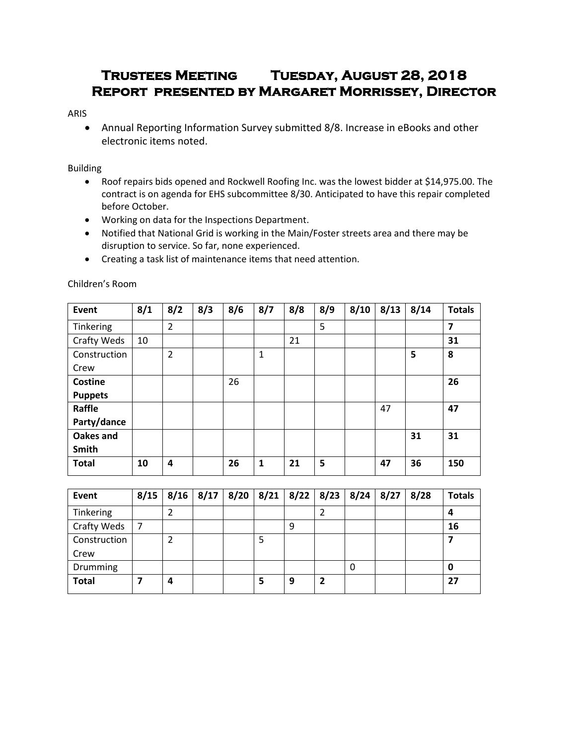# **Trustees Meeting Tuesday, August 28, 2018 Report presented by Margaret Morrissey, Director**

#### ARIS

 Annual Reporting Information Survey submitted 8/8. Increase in eBooks and other electronic items noted.

## Building

- Roof repairs bids opened and Rockwell Roofing Inc. was the lowest bidder at \$14,975.00. The contract is on agenda for EHS subcommittee 8/30. Anticipated to have this repair completed before October.
- Working on data for the Inspections Department.
- Notified that National Grid is working in the Main/Foster streets area and there may be disruption to service. So far, none experienced.
- Creating a task list of maintenance items that need attention.

| Event          | 8/1 | 8/2                     | 8/3 | 8/6 | 8/7          | 8/8 | 8/9 | 8/10 | 8/13 | 8/14 | <b>Totals</b>  |
|----------------|-----|-------------------------|-----|-----|--------------|-----|-----|------|------|------|----------------|
| Tinkering      |     | $\overline{2}$          |     |     |              |     | 5   |      |      |      | $\overline{7}$ |
| Crafty Weds    | 10  |                         |     |     |              | 21  |     |      |      |      | 31             |
| Construction   |     | $\overline{2}$          |     |     | 1            |     |     |      |      | 5    | 8              |
| Crew           |     |                         |     |     |              |     |     |      |      |      |                |
| Costine        |     |                         |     | 26  |              |     |     |      |      |      | 26             |
| <b>Puppets</b> |     |                         |     |     |              |     |     |      |      |      |                |
| Raffle         |     |                         |     |     |              |     |     |      | 47   |      | 47             |
| Party/dance    |     |                         |     |     |              |     |     |      |      |      |                |
| Oakes and      |     |                         |     |     |              |     |     |      |      | 31   | 31             |
| Smith          |     |                         |     |     |              |     |     |      |      |      |                |
| <b>Total</b>   | 10  | $\overline{\mathbf{4}}$ |     | 26  | $\mathbf{1}$ | 21  | 5   |      | 47   | 36   | 150            |
|                |     |                         |     |     |              |     |     |      |      |      |                |

Children's Room

| <b>Event</b> | $8/15$   $8/16$   $8/17$   $8/20$   $8/21$   $8/22$   $8/23$   $8/24$   $8/27$ |  |   |   | 8/28 | <b>Totals</b> |
|--------------|--------------------------------------------------------------------------------|--|---|---|------|---------------|
| Tinkering    |                                                                                |  |   |   |      |               |
| Crafty Weds  |                                                                                |  | 9 |   |      | 16            |
| Construction |                                                                                |  |   |   |      |               |
| Crew         |                                                                                |  |   |   |      |               |
| Drumming     |                                                                                |  |   | O |      | U             |
| <b>Total</b> | 4                                                                              |  | 9 |   |      | 27            |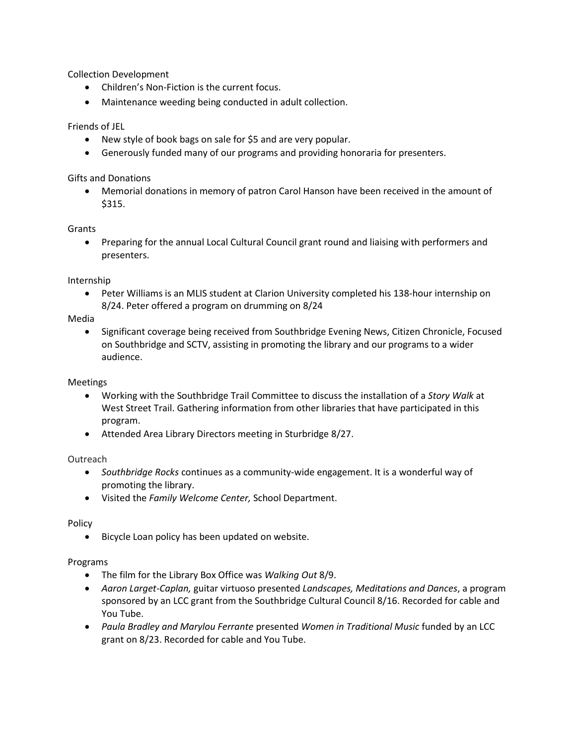Collection Development

- Children's Non-Fiction is the current focus.
- Maintenance weeding being conducted in adult collection.

## Friends of JEL

- New style of book bags on sale for \$5 and are very popular.
- Generously funded many of our programs and providing honoraria for presenters.

Gifts and Donations

 Memorial donations in memory of patron Carol Hanson have been received in the amount of \$315.

Grants

 Preparing for the annual Local Cultural Council grant round and liaising with performers and presenters.

Internship

 Peter Williams is an MLIS student at Clarion University completed his 138-hour internship on 8/24. Peter offered a program on drumming on 8/24

Media

• Significant coverage being received from Southbridge Evening News, Citizen Chronicle, Focused on Southbridge and SCTV, assisting in promoting the library and our programs to a wider audience.

Meetings

- Working with the Southbridge Trail Committee to discuss the installation of a *Story Walk* at West Street Trail. Gathering information from other libraries that have participated in this program.
- Attended Area Library Directors meeting in Sturbridge 8/27.

Outreach

- *Southbridge Rocks* continues as a community-wide engagement. It is a wonderful way of promoting the library.
- Visited the *Family Welcome Center,* School Department.

Policy

Bicycle Loan policy has been updated on website.

Programs

- The film for the Library Box Office was *Walking Out* 8/9.
- *Aaron Larget-Caplan,* guitar virtuoso presented *Landscapes, Meditations and Dances*, a program sponsored by an LCC grant from the Southbridge Cultural Council 8/16. Recorded for cable and You Tube.
- *Paula Bradley and Marylou Ferrante* presented *Women in Traditional Music* funded by an LCC grant on 8/23. Recorded for cable and You Tube.